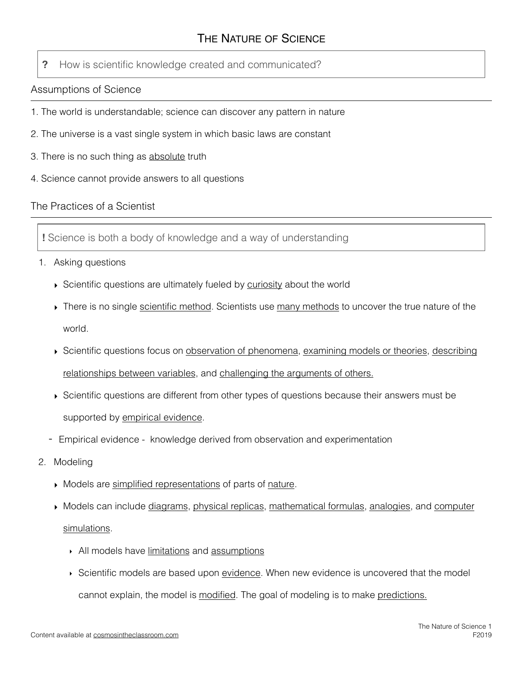**?** How is scientific knowledge created and communicated?

## Assumptions of Science

- 1. The world is understandable; science can discover any pattern in nature
- 2. The universe is a vast single system in which basic laws are constant
- 3. There is no such thing as absolute truth
- 4. Science cannot provide answers to all questions

## The Practices of a Scientist

**!** Science is both a body of knowledge and a way of understanding

- 1. Asking questions
	- ‣ Scientific questions are ultimately fueled by curiosity about the world
	- ‣ There is no single scientific method. Scientists use many methods to uncover the true nature of the world.
	- ‣ Scientific questions focus on observation of phenomena, examining models or theories, describing relationships between variables, and challenging the arguments of others.
	- ‣ Scientific questions are different from other types of questions because their answers must be supported by empirical evidence.
	- Empirical evidence knowledge derived from observation and experimentation
- 2. Modeling
	- ‣ Models are simplified representations of parts of nature*.*
	- ‣ Models can include diagrams, physical replicas, mathematical formulas, analogies, and computer simulations.
		- ‣ All models have limitations and assumptions
		- Scientific models are based upon evidence. When new evidence is uncovered that the model cannot explain, the model is modified. The goal of modeling is to make predictions.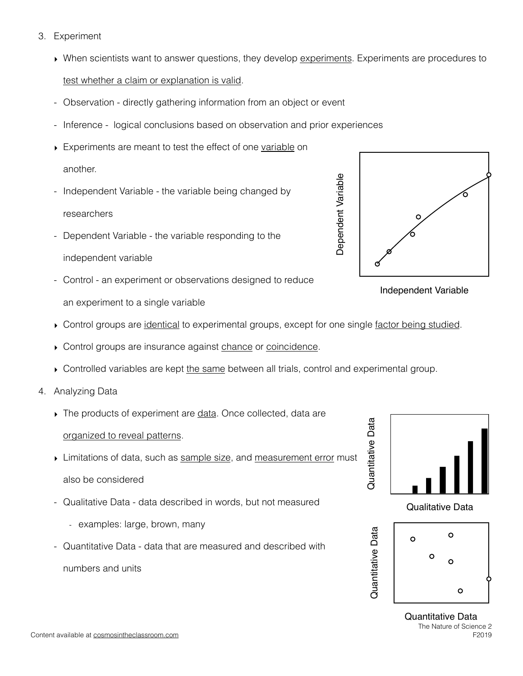- 3. Experiment
	- ‣ When scientists want to answer questions, they develop experiments. Experiments are procedures to test whether a claim or explanation is valid.
	- Observation directly gathering information from an object or event
	- Inference logical conclusions based on observation and prior experiences
	- ‣ Experiments are meant to test the effect of one variable on another.
	- Independent Variable the variable being changed by researchers
	- Dependent Variable the variable responding to the independent variable
	- Control an experiment or observations designed to reduce an experiment to a single variable
	- Control groups are identical to experimental groups, except for one single factor being studied.
	- ▶ Control groups are insurance against chance or coincidence.
	- ‣ Controlled variables are kept the same between all trials, control and experimental group.
- 4. Analyzing Data
	- ‣ The products of experiment are data. Once collected, data are organized to reveal patterns.
	- If Limitations of data, such as sample size, and measurement error must also be considered
	- Qualitative Data data described in words, but not measured
		- examples: large, brown, many
	- Quantitative Data data that are measured and described with numbers and units



Independent Variable



Quantitative Data Quantitative Data  $\circ$  $\circ$  $\overline{O}$ 

The Nature of Science 2 F2019 Quantitative Data